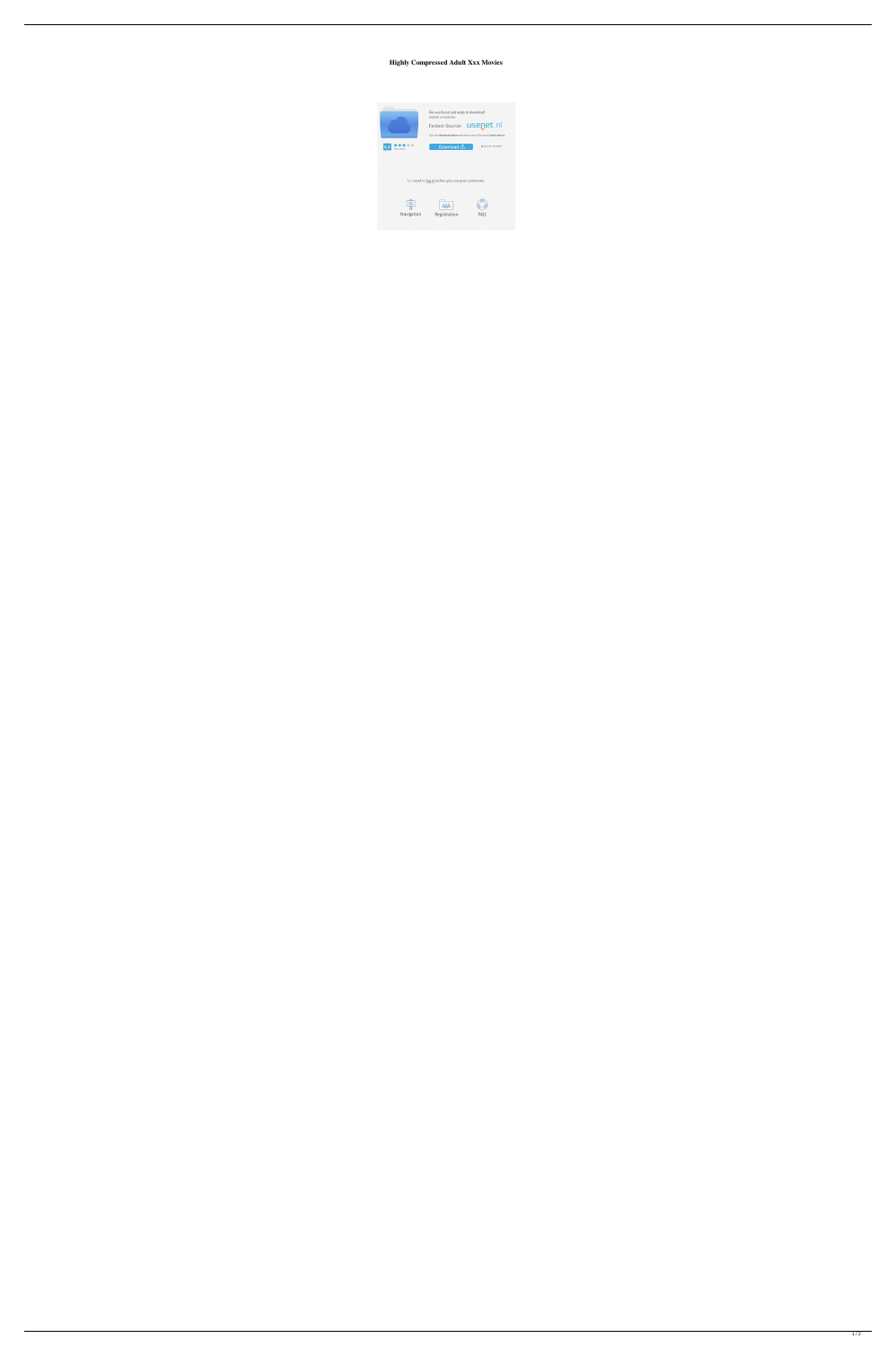## **Highly Compressed Adult Xxx Movies**